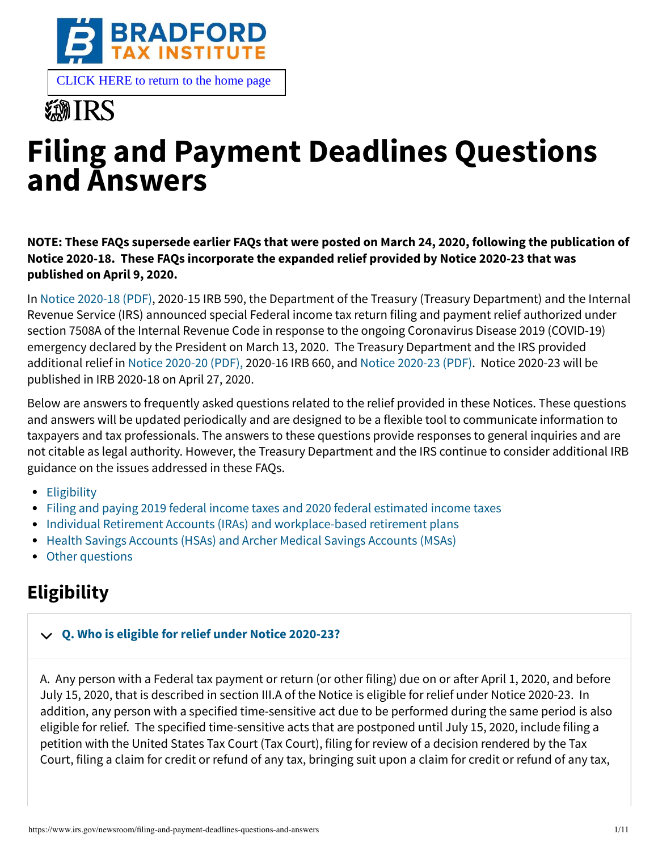

# **《新TRS**

# **Filing and Payment Deadlines Questions and Answers**

**NOTE: These FAQs supersede earlier FAQs that were posted on March 24, 2020, following the publication of Notice 2020-18. These FAQs incorporate the expanded relief provided by Notice 2020-23 that was published on April 9, 2020.**

In [Notice 2020-18 \(PDF\)](https://www.irs.gov/pub/irs-drop/n-20-18.pdf), 2020-15 IRB 590, the Department of the Treasury (Treasury Department) and the Internal Revenue Service (IRS) announced special Federal income tax return filing and payment relief authorized under section 7508A of the Internal Revenue Code in response to the ongoing Coronavirus Disease 2019 (COVID-19) emergency declared by the President on March 13, 2020. The Treasury Department and the IRS provided additional relief in [Notice 2020-20 \(PDF\),](https://www.irs.gov/pub/irs-drop/n-20-20.pdf) 2020-16 IRB 660, and [Notice 2020-23 \(PDF\)](https://www.irs.gov/pub/irs-drop/n-20-23.pdf). Notice 2020-23 will be published in IRB 2020-18 on April 27, 2020.

Below are answers to frequently asked questions related to the relief provided in these Notices. These questions and answers will be updated periodically and are designed to be a flexible tool to communicate information to taxpayers and tax professionals. The answers to these questions provide responses to general inquiries and are not citable as legal authority. However, the Treasury Department and the IRS continue to consider additional IRB guidance on the issues addressed in these FAQs.

- [Eligibility](#page-0-0)
- [Filing and paying 2019 federal income taxes and 2020 federal estimated income taxes](#page-3-0)
- [Individual Retirement Accounts \(IRAs\) and workplace-based retirement plans](#page-5-0)
- [Health Savings Accounts \(HSAs\) and Archer Medical Savings Accounts \(MSAs\)](#page-6-0)
- [Other questions](#page-7-0)

# <span id="page-0-0"></span>**Eligibility**

## **[Q. Who is eligible for relief under Notice 2020-23?](#page-0-1)**

<span id="page-0-1"></span>A. Any person with a Federal tax payment or return (or other filing) due on or after April 1, 2020, and before July 15, 2020, that is described in section III.A of the Notice is eligible for relief under Notice 2020-23. In addition, any person with a specified time-sensitive act due to be performed during the same period is also eligible for relief. The specified time-sensitive acts that are postponed until July 15, 2020, include filing a petition with the United States Tax Court (Tax Court), filing for review of a decision rendered by the Tax Court, filing a claim for credit or refund of any tax, bringing suit upon a claim for credit or refund of any tax,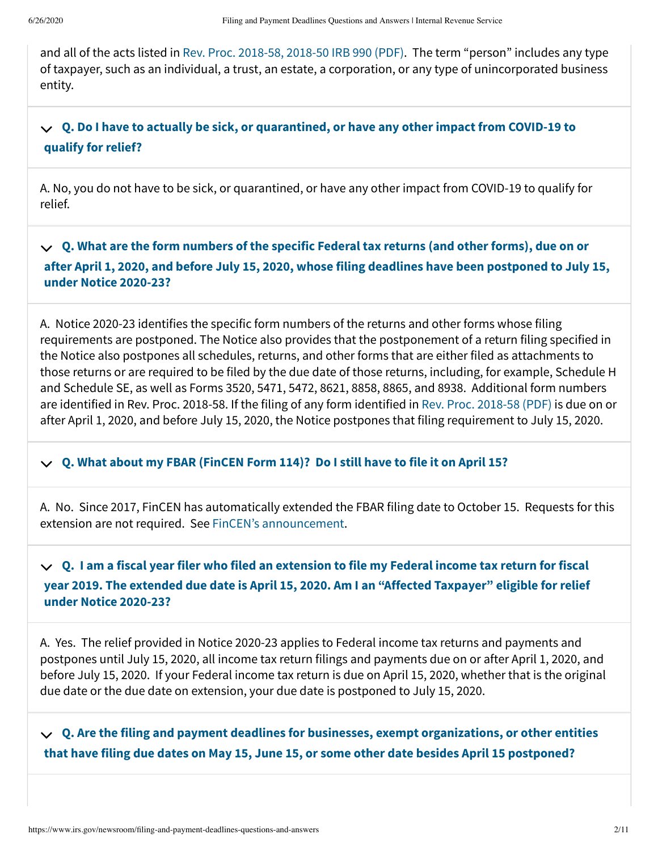and all of the acts listed in [Rev. Proc. 2018-58, 2018-50 IRB 990 \(PDF\)](https://www.irs.gov/pub/irs-irbs/irb18-50.pdf). The term "person" includes any type of taxpayer, such as an individual, a trust, an estate, a corporation, or any type of unincorporated business entity.

#### **[Q. Do I have to actually be sick, or quarantined, or have any other impact from COVID-19 to](#page-1-0) qualify for relief?**

<span id="page-1-0"></span>A. No, you do not have to be sick, or quarantined, or have any other impact from COVID-19 to qualify for relief.

**Q. What are the form numbers of the specific Federal tax returns (and other forms), due on or [after April 1, 2020, and before July 15, 2020, whose filing deadlines have been postponed to July 15,](#page-1-1) under Notice 2020-23?**

<span id="page-1-1"></span>A. Notice 2020-23 identifies the specific form numbers of the returns and other forms whose filing requirements are postponed. The Notice also provides that the postponement of a return filing specified in the Notice also postpones all schedules, returns, and other forms that are either filed as attachments to those returns or are required to be filed by the due date of those returns, including, for example, Schedule H and Schedule SE, as well as Forms 3520, 5471, 5472, 8621, 8858, 8865, and 8938. Additional form numbers are identified in Rev. Proc. 2018-58. If the filing of any form identified in [Rev. Proc. 2018-58 \(PDF\)](https://www.irs.gov/pub/irs-irbs/irb18-50.pdf) is due on or after April 1, 2020, and before July 15, 2020, the Notice postpones that filing requirement to July 15, 2020.

## **[Q. What about my FBAR \(FinCEN Form 114\)? Do I still have to file it on April 15?](#page-1-2)**

<span id="page-1-2"></span>A. No. Since 2017, FinCEN has automatically extended the FBAR filing date to October 15. Requests for this extension are not required. See [FinCEN's announcement.](https://www.fincen.gov/sites/default/files/2020-03/Due_Date_for_FBARs.pdf)

#### **Q. I am a fiscal year filer who filed an extension to file my Federal income tax return for fiscal [year 2019. The extended due date is April 15, 2020. Am I an "Affected Taxpayer" eligible for relief](#page-1-3) under Notice 2020-23?**

<span id="page-1-3"></span>A. Yes. The relief provided in Notice 2020-23 applies to Federal income tax returns and payments and postpones until July 15, 2020, all income tax return filings and payments due on or after April 1, 2020, and before July 15, 2020. If your Federal income tax return is due on April 15, 2020, whether that is the original due date or the due date on extension, your due date is postponed to July 15, 2020.

<span id="page-1-4"></span>**[Q. Are the filing and payment deadlines for businesses, exempt organizations, or other entities](#page-1-4) that have filing due dates on May 15, June 15, or some other date besides April 15 postponed?**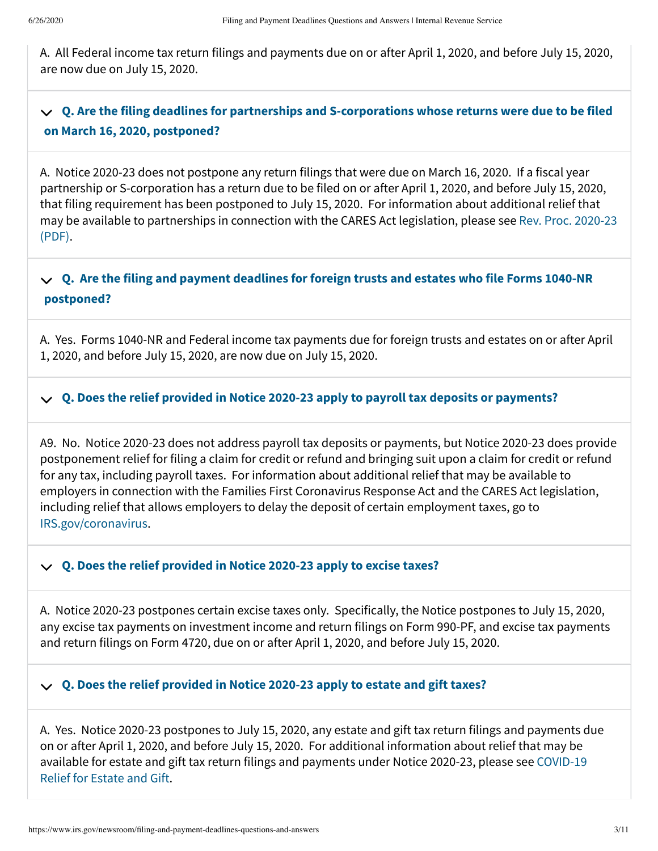A. All Federal income tax return filings and payments due on or after April 1, 2020, and before July 15, 2020, are now due on July 15, 2020.

#### **[Q. Are the filing deadlines for partnerships and S-corporations whose returns were due to be filed](#page-2-0) on March 16, 2020, postponed?**

<span id="page-2-0"></span>A. Notice 2020-23 does not postpone any return filings that were due on March 16, 2020. If a fiscal year partnership or S-corporation has a return due to be filed on or after April 1, 2020, and before July 15, 2020, that filing requirement has been postponed to July 15, 2020. For information about additional relief that [may be available to partnerships in connection with the CARES Act legislation, please see Rev. Proc. 2020-23](https://www.irs.gov/pub/irs-drop/rp-20-23.pdf) (PDF).

#### **[Q. Are the filing and payment deadlines for foreign trusts and estates who file Forms 1040-NR](#page-2-1) postponed?**

<span id="page-2-1"></span>A. Yes. Forms 1040-NR and Federal income tax payments due for foreign trusts and estates on or after April 1, 2020, and before July 15, 2020, are now due on July 15, 2020.

## **[Q. Does the relief provided in Notice 2020-23 apply to payroll tax deposits or payments?](#page-2-2)**

<span id="page-2-2"></span>A9. No. Notice 2020-23 does not address payroll tax deposits or payments, but Notice 2020-23 does provide postponement relief for filing a claim for credit or refund and bringing suit upon a claim for credit or refund for any tax, including payroll taxes. For information about additional relief that may be available to employers in connection with the Families First Coronavirus Response Act and the CARES Act legislation, including relief that allows employers to delay the deposit of certain employment taxes, go to [IRS.gov/coronavirus](https://www.irs.gov/coronavirus-tax-relief-and-economic-impact-payments).

## **[Q. Does the relief provided in Notice 2020-23 apply to excise taxes?](#page-2-3)**

<span id="page-2-3"></span>A. Notice 2020-23 postpones certain excise taxes only. Specifically, the Notice postpones to July 15, 2020, any excise tax payments on investment income and return filings on Form 990-PF, and excise tax payments and return filings on Form 4720, due on or after April 1, 2020, and before July 15, 2020.

## **[Q. Does the relief provided in Notice 2020-23 apply to estate and gift taxes?](#page-2-4)**

<span id="page-2-4"></span>A. Yes. Notice 2020-23 postpones to July 15, 2020, any estate and gift tax return filings and payments due on or after April 1, 2020, and before July 15, 2020. For additional information about relief that may be [available for estate and gift tax return filings and payments under Notice 2020-23, please see COVID-19](https://www.irs.gov/businesses/small-businesses-self-employed/covid-19-relief-for-estate-and-gift) Relief for Estate and Gift.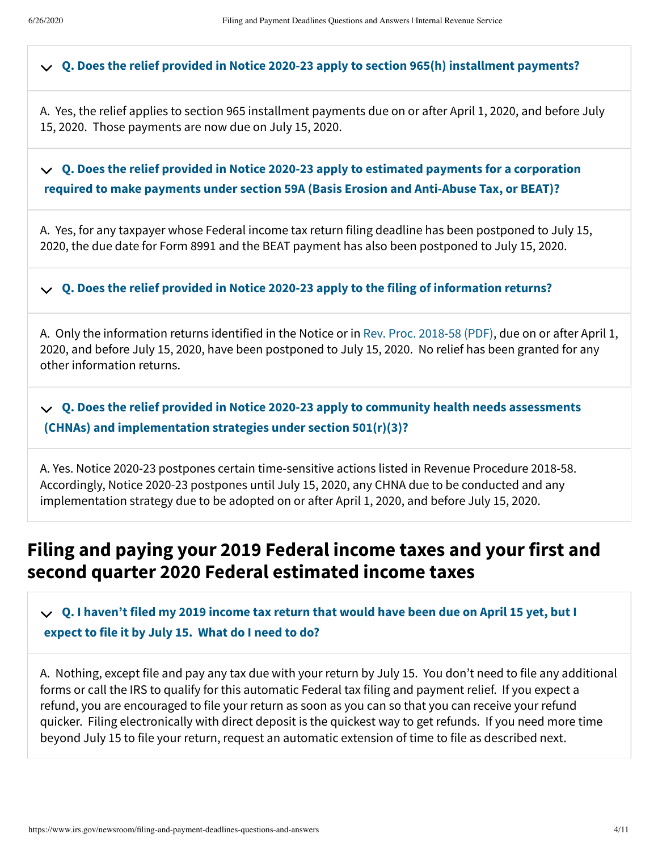## **[Q. Does the relief provided in Notice 2020-23 apply to section 965\(h\) installment payments?](#page-3-1)**

<span id="page-3-1"></span>A. Yes, the relief applies to section 965 installment payments due on or after April 1, 2020, and before July 15, 2020. Those payments are now due on July 15, 2020.

#### **[Q. Does the relief provided in Notice 2020-23 apply to estimated payments for a corporation](#page-3-2) required to make payments under section 59A (Basis Erosion and Anti-Abuse Tax, or BEAT)?**

<span id="page-3-2"></span>A. Yes, for any taxpayer whose Federal income tax return filing deadline has been postponed to July 15, 2020, the due date for Form 8991 and the BEAT payment has also been postponed to July 15, 2020.

## **[Q. Does the relief provided in Notice 2020-23 apply to the filing of information returns?](#page-3-3)**

<span id="page-3-3"></span>A. Only the information returns identified in the Notice or in [Rev. Proc. 2018-58 \(PDF\),](https://www.irs.gov/pub/irs-drop/rp-18-58.pdf) due on or after April 1, 2020, and before July 15, 2020, have been postponed to July 15, 2020. No relief has been granted for any other information returns.

**[Q. Does the relief provided in Notice 2020-23 apply to community health needs assessments](#page-3-4) (CHNAs) and implementation strategies under section 501(r)(3)?**

<span id="page-3-4"></span>A. Yes. Notice 2020-23 postpones certain time-sensitive actions listed in Revenue Procedure 2018-58. Accordingly, Notice 2020-23 postpones until July 15, 2020, any CHNA due to be conducted and any implementation strategy due to be adopted on or after April 1, 2020, and before July 15, 2020.

## <span id="page-3-0"></span>**Filing and paying your 2019 Federal income taxes and your first and second quarter 2020 Federal estimated income taxes**

**[Q. I haven't filed my 2019 income tax return that would have been due on April 15 yet, but I](#page-3-5) expect to file it by July 15. What do I need to do?**

<span id="page-3-5"></span>A. Nothing, except file and pay any tax due with your return by July 15. You don't need to file any additional forms or call the IRS to qualify for this automatic Federal tax filing and payment relief. If you expect a refund, you are encouraged to file your return as soon as you can so that you can receive your refund quicker. Filing electronically with direct deposit is the quickest way to get refunds. If you need more time beyond July 15 to file your return, request an automatic extension of time to file as described next.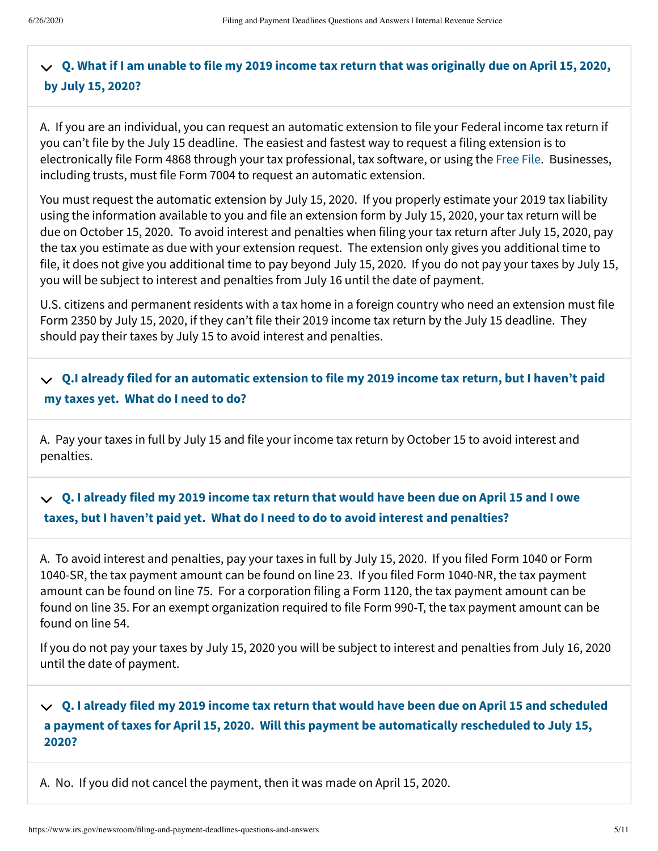#### **[Q. What if I am unable to file my 2019 income tax return that was originally due on April 15, 2020,](#page-4-0) by July 15, 2020?**

<span id="page-4-0"></span>A. If you are an individual, you can request an automatic extension to file your Federal income tax return if you can't file by the July 15 deadline. The easiest and fastest way to request a filing extension is to electronically file Form 4868 through your tax professional, tax software, or using the [Free File.](https://www.irs.gov/filing/free-file-do-your-federal-taxes-for-free) Businesses, including trusts, must file Form 7004 to request an automatic extension.

You must request the automatic extension by July 15, 2020. If you properly estimate your 2019 tax liability using the information available to you and file an extension form by July 15, 2020, your tax return will be due on October 15, 2020. To avoid interest and penalties when filing your tax return after July 15, 2020, pay the tax you estimate as due with your extension request. The extension only gives you additional time to file, it does not give you additional time to pay beyond July 15, 2020. If you do not pay your taxes by July 15, you will be subject to interest and penalties from July 16 until the date of payment.

U.S. citizens and permanent residents with a tax home in a foreign country who need an extension must file Form 2350 by July 15, 2020, if they can't file their 2019 income tax return by the July 15 deadline. They should pay their taxes by July 15 to avoid interest and penalties.

#### **[Q.I already filed for an automatic extension to file my 2019 income tax return, but I haven't paid](#page-4-1) my taxes yet. What do I need to do?**

<span id="page-4-1"></span>A. Pay your taxes in full by July 15 and file your income tax return by October 15 to avoid interest and penalties.

#### **[Q. I already filed my 2019 income tax return that would have been due on April 15 and I owe](#page-4-2) taxes, but I haven't paid yet. What do I need to do to avoid interest and penalties?**

<span id="page-4-2"></span>A. To avoid interest and penalties, pay your taxes in full by July 15, 2020. If you filed Form 1040 or Form 1040-SR, the tax payment amount can be found on line 23. If you filed Form 1040-NR, the tax payment amount can be found on line 75. For a corporation filing a Form 1120, the tax payment amount can be found on line 35. For an exempt organization required to file Form 990-T, the tax payment amount can be found on line 54.

If you do not pay your taxes by July 15, 2020 you will be subject to interest and penalties from July 16, 2020 until the date of payment.

#### **Q. I already filed my 2019 income tax return that would have been due on April 15 and scheduled [a payment of taxes for April 15, 2020. Will this payment be automatically rescheduled to July 15,](#page-4-3) 2020?**

<span id="page-4-3"></span>A. No. If you did not cancel the payment, then it was made on April 15, 2020.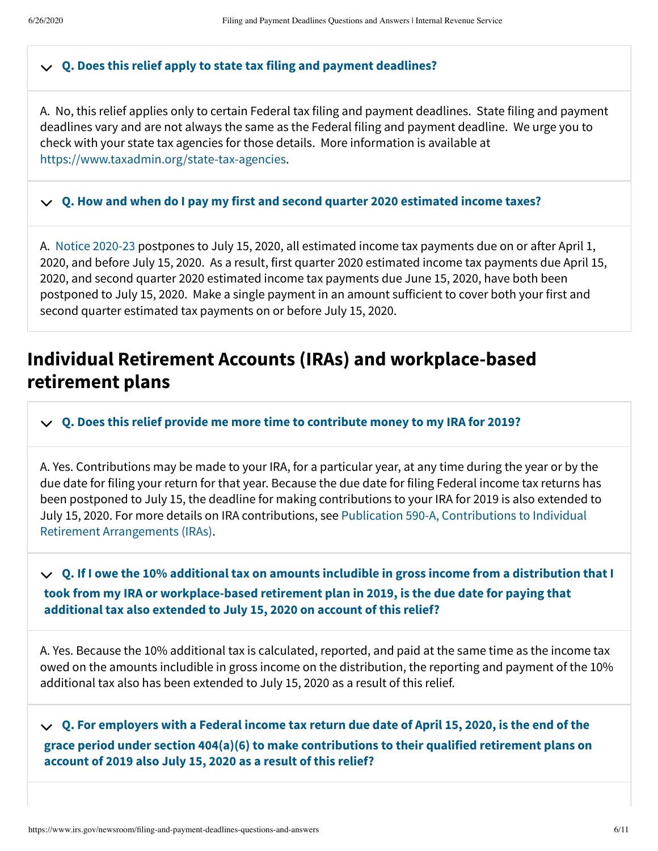## **[Q. Does this relief apply to state tax filing and payment deadlines?](#page-5-1)**

<span id="page-5-1"></span>A. No, this relief applies only to certain Federal tax filing and payment deadlines. State filing and payment deadlines vary and are not always the same as the Federal filing and payment deadline. We urge you to check with your state tax agencies for those details. More information is available at <https://www.taxadmin.org/state-tax-agencies>.

## **[Q. How and when do I pay my first and second quarter 2020 estimated income taxes?](#page-5-2)**

<span id="page-5-2"></span>A. [Notice 2020-23](https://www.irs.gov/pub/irs-drop/n-20-23.pdf) postpones to July 15, 2020, all estimated income tax payments due on or after April 1, 2020, and before July 15, 2020. As a result, first quarter 2020 estimated income tax payments due April 15, 2020, and second quarter 2020 estimated income tax payments due June 15, 2020, have both been postponed to July 15, 2020. Make a single payment in an amount sufficient to cover both your first and second quarter estimated tax payments on or before July 15, 2020.

## <span id="page-5-0"></span>**Individual Retirement Accounts (IRAs) and workplace-based retirement plans**

## **[Q. Does this relief provide me more time to contribute money to my IRA for 2019?](#page-5-3)**

<span id="page-5-3"></span>A. Yes. Contributions may be made to your IRA, for a particular year, at any time during the year or by the due date for filing your return for that year. Because the due date for filing Federal income tax returns has been postponed to July 15, the deadline for making contributions to your IRA for 2019 is also extended to [July 15, 2020. For more details on IRA contributions, see Publication 590-A, Contributions to Individual](https://www.irs.gov/publications/p590a) Retirement Arrangements (IRAs).

**[Q. If I owe the 10% additional tax on amounts includible in gross income from a distribution that I](#page-5-4) took from my IRA or workplace-based retirement plan in 2019, is the due date for paying that additional tax also extended to July 15, 2020 on account of this relief?**

<span id="page-5-4"></span>A. Yes. Because the 10% additional tax is calculated, reported, and paid at the same time as the income tax owed on the amounts includible in gross income on the distribution, the reporting and payment of the 10% additional tax also has been extended to July 15, 2020 as a result of this relief.

<span id="page-5-5"></span>**Q. For employers with a Federal income tax return due date of April 15, 2020, is the end of the [grace period under section 404\(a\)\(6\) to make contributions to their qualified retirement plans on](#page-5-5) account of 2019 also July 15, 2020 as a result of this relief?**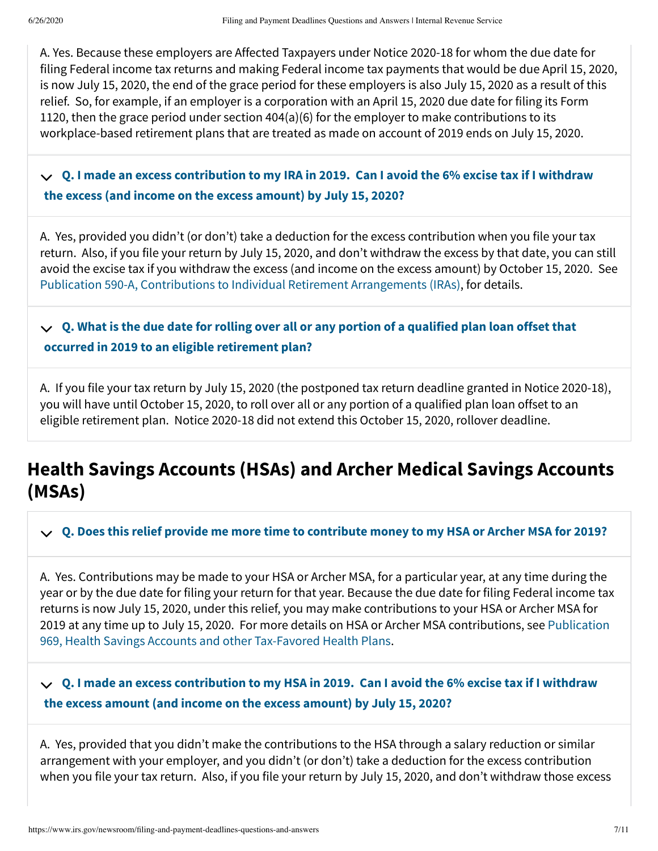A. Yes. Because these employers are Affected Taxpayers under Notice 2020-18 for whom the due date for filing Federal income tax returns and making Federal income tax payments that would be due April 15, 2020, is now July 15, 2020, the end of the grace period for these employers is also July 15, 2020 as a result of this relief. So, for example, if an employer is a corporation with an April 15, 2020 due date for filing its Form 1120, then the grace period under section 404(a)(6) for the employer to make contributions to its workplace-based retirement plans that are treated as made on account of 2019 ends on July 15, 2020.

**[Q. I made an excess contribution to my IRA in 2019. Can I avoid the 6% excise tax if I withdraw](#page-6-1) the excess (and income on the excess amount) by July 15, 2020?**

<span id="page-6-1"></span>A. Yes, provided you didn't (or don't) take a deduction for the excess contribution when you file your tax return. Also, if you file your return by July 15, 2020, and don't withdraw the excess by that date, you can still avoid the excise tax if you withdraw the excess (and income on the excess amount) by October 15, 2020. See [Publication 590-A, Contributions to Individual Retirement Arrangements \(IRAs\),](https://www.irs.gov/forms-pubs/about-publication-590-a) for details.

 $\boldsymbol{\lor} \ \ \boldsymbol{\mathsf{Q}}$ . What is the due date for rolling over all or any portion of a qualified plan loan offset that **occurred in 2019 to an eligible retirement plan?**

<span id="page-6-2"></span>A. If you file your tax return by July 15, 2020 (the postponed tax return deadline granted in Notice 2020-18), you will have until October 15, 2020, to roll over all or any portion of a qualified plan loan offset to an eligible retirement plan. Notice 2020-18 did not extend this October 15, 2020, rollover deadline.

# <span id="page-6-0"></span>**Health Savings Accounts (HSAs) and Archer Medical Savings Accounts (MSAs)**

**[Q. Does this relief provide me more time to contribute money to my HSA or Archer MSA for 2019?](#page-6-3)**

<span id="page-6-3"></span>A. Yes. Contributions may be made to your HSA or Archer MSA, for a particular year, at any time during the year or by the due date for filing your return for that year. Because the due date for filing Federal income tax returns is now July 15, 2020, under this relief, you may make contributions to your HSA or Archer MSA for [2019 at any time up to July 15, 2020. For more details on HSA or Archer MSA contributions, see Publication](https://www.irs.gov/publications/p969) 969, Health Savings Accounts and other Tax-Favored Health Plans.

#### **[Q. I made an excess contribution to my HSA in 2019. Can I avoid the 6% excise tax if I withdraw](#page-6-4) the excess amount (and income on the excess amount) by July 15, 2020?**

<span id="page-6-4"></span>A. Yes, provided that you didn't make the contributions to the HSA through a salary reduction or similar arrangement with your employer, and you didn't (or don't) take a deduction for the excess contribution when you file your tax return. Also, if you file your return by July 15, 2020, and don't withdraw those excess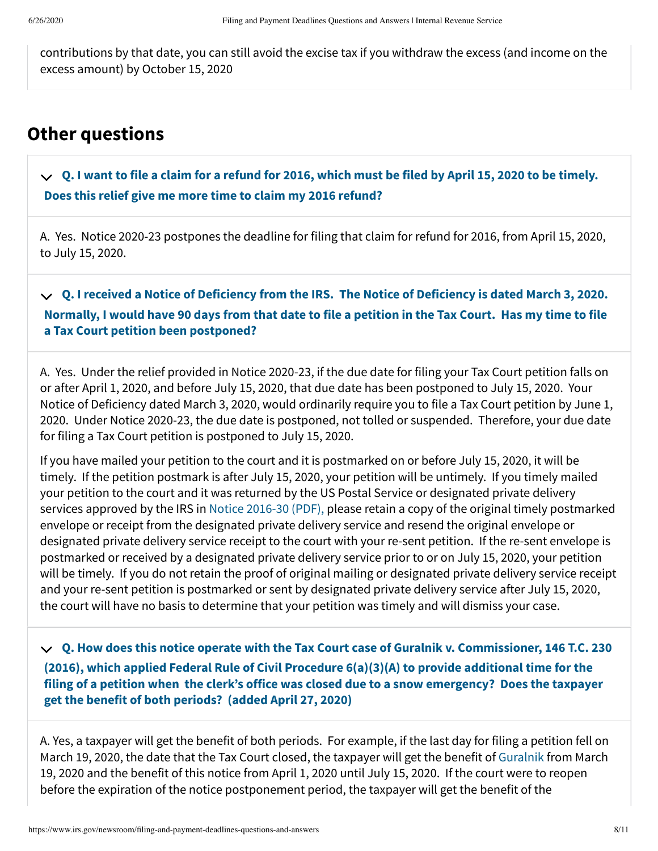contributions by that date, you can still avoid the excise tax if you withdraw the excess (and income on the excess amount) by October 15, 2020

# <span id="page-7-0"></span>**Other questions**

**[Q. I want to file a claim for a refund for 2016, which must be filed by April 15, 2020 to be timely.](#page-7-1) Does this relief give me more time to claim my 2016 refund?**

<span id="page-7-1"></span>A. Yes. Notice 2020-23 postpones the deadline for filing that claim for refund for 2016, from April 15, 2020, to July 15, 2020.

**Q. I received a Notice of Deficiency from the IRS. The Notice of Deficiency is dated March 3, 2020. [Normally, I would have 90 days from that date to file a petition in the Tax Court. Has my time to file](#page-7-2) a Tax Court petition been postponed?**

<span id="page-7-2"></span>A. Yes. Under the relief provided in Notice 2020-23, if the due date for filing your Tax Court petition falls on or after April 1, 2020, and before July 15, 2020, that due date has been postponed to July 15, 2020. Your Notice of Deficiency dated March 3, 2020, would ordinarily require you to file a Tax Court petition by June 1, 2020. Under Notice 2020-23, the due date is postponed, not tolled or suspended. Therefore, your due date for filing a Tax Court petition is postponed to July 15, 2020.

If you have mailed your petition to the court and it is postmarked on or before July 15, 2020, it will be timely. If the petition postmark is after July 15, 2020, your petition will be untimely. If you timely mailed your petition to the court and it was returned by the US Postal Service or designated private delivery services approved by the IRS in [Notice 2016-30 \(PDF\),](https://www.irs.gov/pub/irs-drop/n-16-30.pdf) please retain a copy of the original timely postmarked envelope or receipt from the designated private delivery service and resend the original envelope or designated private delivery service receipt to the court with your re-sent petition. If the re-sent envelope is postmarked or received by a designated private delivery service prior to or on July 15, 2020, your petition will be timely. If you do not retain the proof of original mailing or designated private delivery service receipt and your re-sent petition is postmarked or sent by designated private delivery service after July 15, 2020, the court will have no basis to determine that your petition was timely and will dismiss your case.

**Q. How does this notice operate with the Tax Court case of Guralnik v. Commissioner, 146 T.C. 230 (2016), which applied Federal Rule of Civil Procedure 6(a)(3)(A) to provide additional time for the [filing of a petition when the clerk's office was closed due to a snow emergency? Does the taxpayer](#page-7-3) get the benefit of both periods? (added April 27, 2020)**

<span id="page-7-3"></span>A. Yes, a taxpayer will get the benefit of both periods. For example, if the last day for filing a petition fell on March 19, 2020, the date that the Tax Court closed, the taxpayer will get the benefit of [Guralnik](https://www.ustaxcourt.gov/UstcInOp/OpinionViewer.aspx?ID=10810) from March 19, 2020 and the benefit of this notice from April 1, 2020 until July 15, 2020. If the court were to reopen before the expiration of the notice postponement period, the taxpayer will get the benefit of the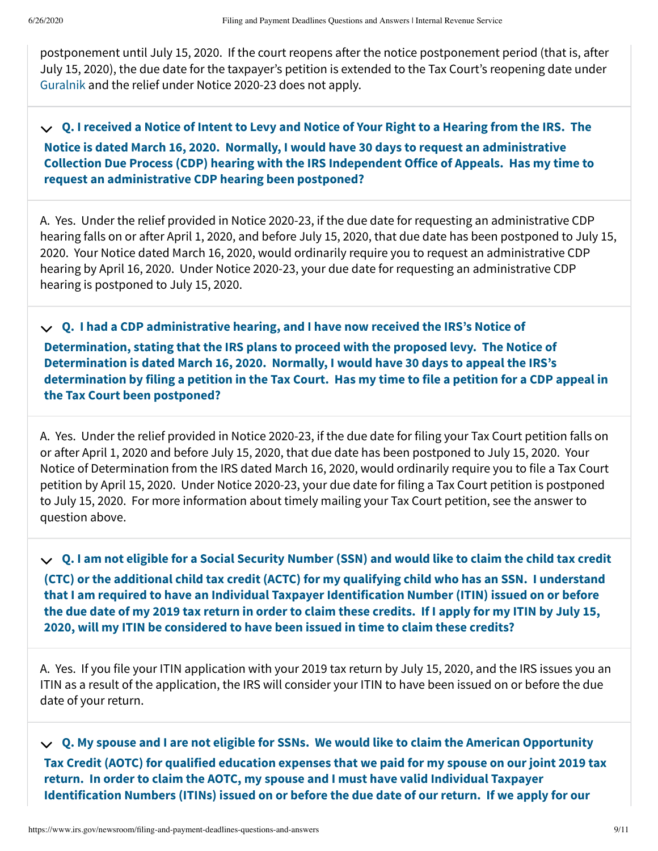postponement until July 15, 2020. If the court reopens after the notice postponement period (that is, after July 15, 2020), the due date for the taxpayer's petition is extended to the Tax Court's reopening date under [Guralnik](https://www.ustaxcourt.gov/UstcInOp/OpinionViewer.aspx?ID=10810) and the relief under Notice 2020-23 does not apply.

**Q. I received a Notice of Intent to Levy and Notice of Your Right to a Hearing from the IRS. The Notice is dated March 16, 2020. Normally, I would have 30 days to request an administrative [Collection Due Process \(CDP\) hearing with the IRS Independent Office of Appeals. Has my time to](#page-8-0) request an administrative CDP hearing been postponed?**

<span id="page-8-0"></span>A. Yes. Under the relief provided in Notice 2020-23, if the due date for requesting an administrative CDP hearing falls on or after April 1, 2020, and before July 15, 2020, that due date has been postponed to July 15, 2020. Your Notice dated March 16, 2020, would ordinarily require you to request an administrative CDP hearing by April 16, 2020. Under Notice 2020-23, your due date for requesting an administrative CDP hearing is postponed to July 15, 2020.

**Q. I had a CDP administrative hearing, and I have now received the IRS's Notice of Determination, stating that the IRS plans to proceed with the proposed levy. The Notice of Determination is dated March 16, 2020. Normally, I would have 30 days to appeal the IRS's [determination by filing a petition in the Tax Court. Has my time to file a petition for a CDP appeal in](#page-8-1) the Tax Court been postponed?**

<span id="page-8-1"></span>A. Yes. Under the relief provided in Notice 2020-23, if the due date for filing your Tax Court petition falls on or after April 1, 2020 and before July 15, 2020, that due date has been postponed to July 15, 2020. Your Notice of Determination from the IRS dated March 16, 2020, would ordinarily require you to file a Tax Court petition by April 15, 2020. Under Notice 2020-23, your due date for filing a Tax Court petition is postponed to July 15, 2020. For more information about timely mailing your Tax Court petition, see the answer to question above.

**Q. I am not eligible for a Social Security Number (SSN) and would like to claim the child tax credit [\(CTC\) or the additional child tax credit \(ACTC\) for my qualifying child who has an SSN. I understand](#page-8-2) that I am required to have an Individual Taxpayer Identification Number (ITIN) issued on or before the due date of my 2019 tax return in order to claim these credits. If I apply for my ITIN by July 15, 2020, will my ITIN be considered to have been issued in time to claim these credits?**

<span id="page-8-2"></span>A. Yes. If you file your ITIN application with your 2019 tax return by July 15, 2020, and the IRS issues you an ITIN as a result of the application, the IRS will consider your ITIN to have been issued on or before the due date of your return.

**Q. My spouse and I are not eligible for SSNs. We would like to claim the American Opportunity [Tax Credit \(AOTC\) for qualified education expenses that we paid for my spouse on our joint 2019 tax](#page-9-0) return. In order to claim the AOTC, my spouse and I must have valid Individual Taxpayer Identification Numbers (ITINs) issued on or before the due date of our return. If we apply for our**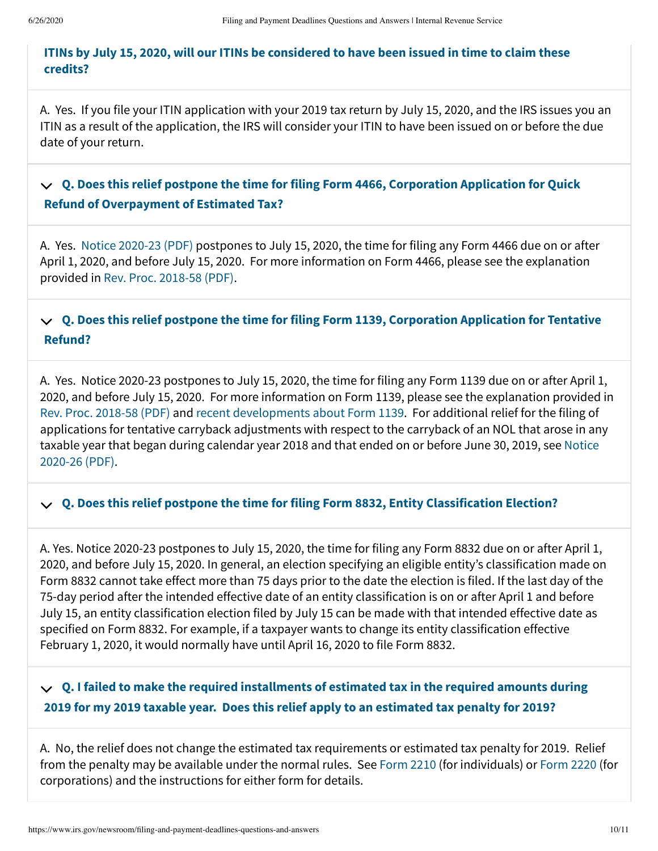#### **[ITINs by July 15, 2020, will our ITINs be considered to have been issued in time to claim these](#page-9-0) credits?**

<span id="page-9-0"></span>A. Yes. If you file your ITIN application with your 2019 tax return by July 15, 2020, and the IRS issues you an ITIN as a result of the application, the IRS will consider your ITIN to have been issued on or before the due date of your return.

#### **[Q. Does this relief postpone the time for filing Form 4466, Corporation Application for Quick](#page-9-1) Refund of Overpayment of Estimated Tax?**

<span id="page-9-1"></span>A. Yes. [Notice 2020-23 \(PDF\)](https://www.irs.gov/pub/irs-drop/n-20-23.pdf) postpones to July 15, 2020, the time for filing any Form 4466 due on or after April 1, 2020, and before July 15, 2020. For more information on Form 4466, please see the explanation provided in [Rev. Proc. 2018-58 \(PDF\).](https://www.irs.gov/pub/irs-irbs/irb18-50.pdf)

**[Q. Does this relief postpone the time for filing Form 1139, Corporation Application for Tentative](#page-9-2) Refund?**

<span id="page-9-2"></span>A. Yes. Notice 2020-23 postpones to July 15, 2020, the time for filing any Form 1139 due on or after April 1, 2020, and before July 15, 2020. For more information on Form 1139, please see the explanation provided in [Rev. Proc. 2018-58 \(PDF\)](https://www.irs.gov/pub/irs-irbs/irb18-50.pdf) and [recent developments about Form 1139](https://www.irs.gov/forms-pubs/about-form-1139). For additional relief for the filing of applications for tentative carryback adjustments with respect to the carryback of an NOL that arose in any [taxable year that began during calendar year 2018 and that ended on or before June 30, 2019, see Notice](https://www.irs.gov/pub/irs-drop/n-20-26.pdf) 2020-26 (PDF).

## **[Q. Does this relief postpone the time for filing Form 8832, Entity Classification Election?](#page-9-3)**

<span id="page-9-3"></span>A. Yes. Notice 2020-23 postpones to July 15, 2020, the time for filing any Form 8832 due on or after April 1, 2020, and before July 15, 2020. In general, an election specifying an eligible entity's classification made on Form 8832 cannot take effect more than 75 days prior to the date the election is filed. If the last day of the 75-day period after the intended effective date of an entity classification is on or after April 1 and before July 15, an entity classification election filed by July 15 can be made with that intended effective date as specified on Form 8832. For example, if a taxpayer wants to change its entity classification effective February 1, 2020, it would normally have until April 16, 2020 to file Form 8832.

#### **[Q. I failed to make the required installments of estimated tax in the required amounts during](#page-9-4) 2019 for my 2019 taxable year. Does this relief apply to an estimated tax penalty for 2019?**

<span id="page-9-4"></span>A. No, the relief does not change the estimated tax requirements or estimated tax penalty for 2019. Relief from the penalty may be available under the normal rules. See [Form 2210](https://www.irs.gov/forms-pubs/about-form-2210) (for individuals) or [Form 2220 \(](https://www.irs.gov/forms-pubs/about-form-2220)for corporations) and the instructions for either form for details.